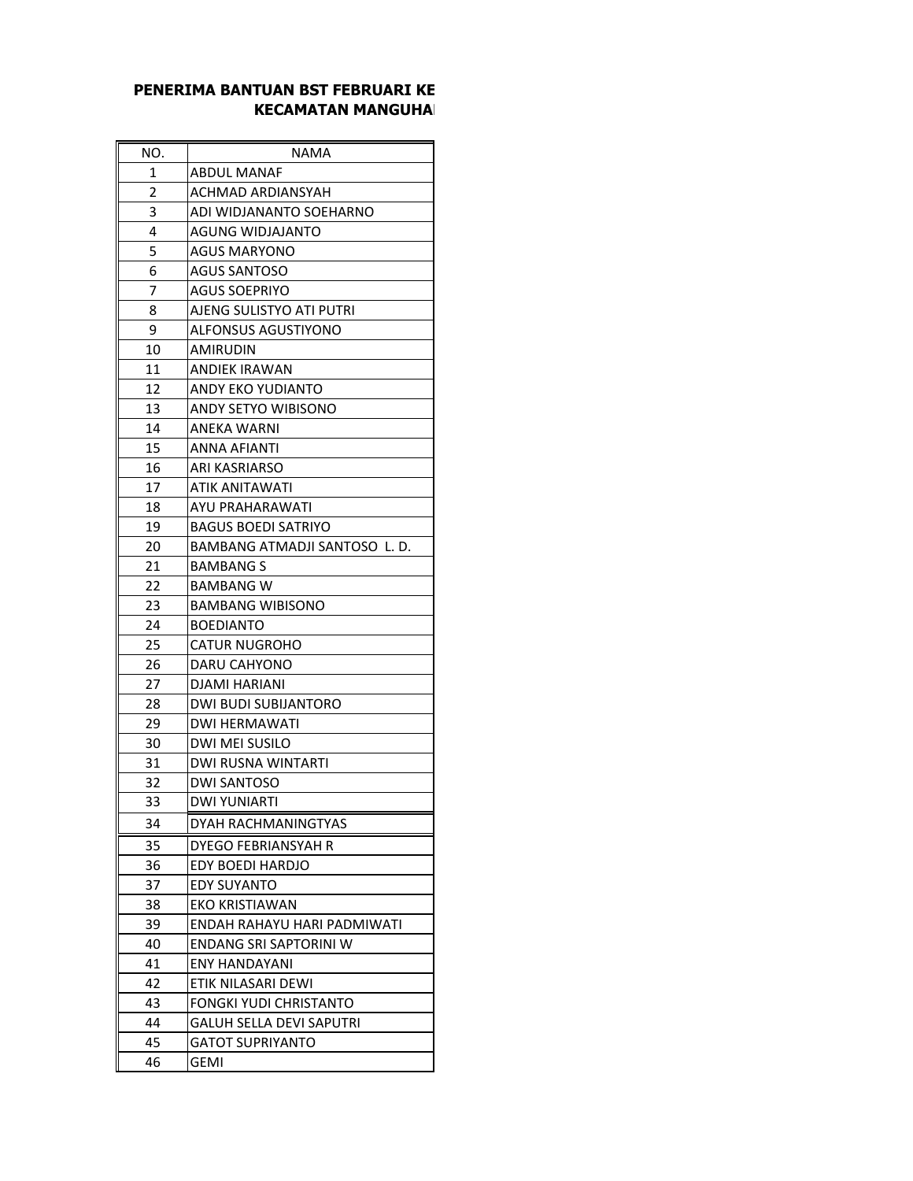## **PENERIMA BANTUAN BST FEBRUARI KE KECAMATAN MANGUHA**

| NO. | NAMA                          |
|-----|-------------------------------|
| 1   | <b>ABDUL MANAF</b>            |
| 2   | ACHMAD ARDIANSYAH             |
| 3   | ADI WIDJANANTO SOEHARNO       |
| 4   | <b>AGUNG WIDJAJANTO</b>       |
| 5   | <b>AGUS MARYONO</b>           |
| 6   | <b>AGUS SANTOSO</b>           |
| 7   | AGUS SOEPRIYO                 |
| 8   | AJENG SULISTYO ATI PUTRI      |
| 9   | <b>ALFONSUS AGUSTIYONO</b>    |
| 10  | AMIRUDIN                      |
| 11  | ANDIEK IRAWAN                 |
| 12  | ANDY EKO YUDIANTO             |
| 13  | ANDY SETYO WIBISONO           |
| 14  | <b>ANEKA WARNI</b>            |
| 15  | ANNA AFIANTI                  |
| 16  | <b>ARI KASRIARSO</b>          |
| 17  | ATIK ANITAWATI                |
| 18  | AYU PRAHARAWATI               |
| 19  | <b>BAGUS BOEDI SATRIYO</b>    |
| 20  | BAMBANG ATMADJI SANTOSO L. D. |
| 21  | BAMBANG S                     |
| 22  | BAMBANG W                     |
| 23  | <b>BAMBANG WIBISONO</b>       |
| 24  | <b>BOEDIANTO</b>              |
| 25  | <b>CATUR NUGROHO</b>          |
| 26  | DARU CAHYONO                  |
| 27  | DJAMI HARIANI                 |
| 28  | <b>DWI BUDI SUBIJANTORO</b>   |
| 29  | <b>DWI HERMAWATI</b>          |
| 30  | DWI MEI SUSILO                |
| 31  | DWI RUSNA WINTARTI            |
| 32  | <b>DWI SANTOSO</b>            |
| 33  | DWI YUNIARTI                  |
| 34  | DYAH RACHMANINGTYAS           |
| 35  | DYEGO FEBRIANSYAH R           |
| 36  | EDY BOEDI HARDJO              |
| 37  | <b>EDY SUYANTO</b>            |
| 38  | EKO KRISTIAWAN                |
| 39  | ENDAH RAHAYU HARI PADMIWATI   |
| 40  | ENDANG SRI SAPTORINI W        |
| 41  | <b>ENY HANDAYANI</b>          |
| 42  | ETIK NILASARI DEWI            |
| 43  | FONGKI YUDI CHRISTANTO        |
| 44  | GALUH SELLA DEVI SAPUTRI      |
| 45  | GATOT SUPRIYANTO              |
| 46  | GEMI                          |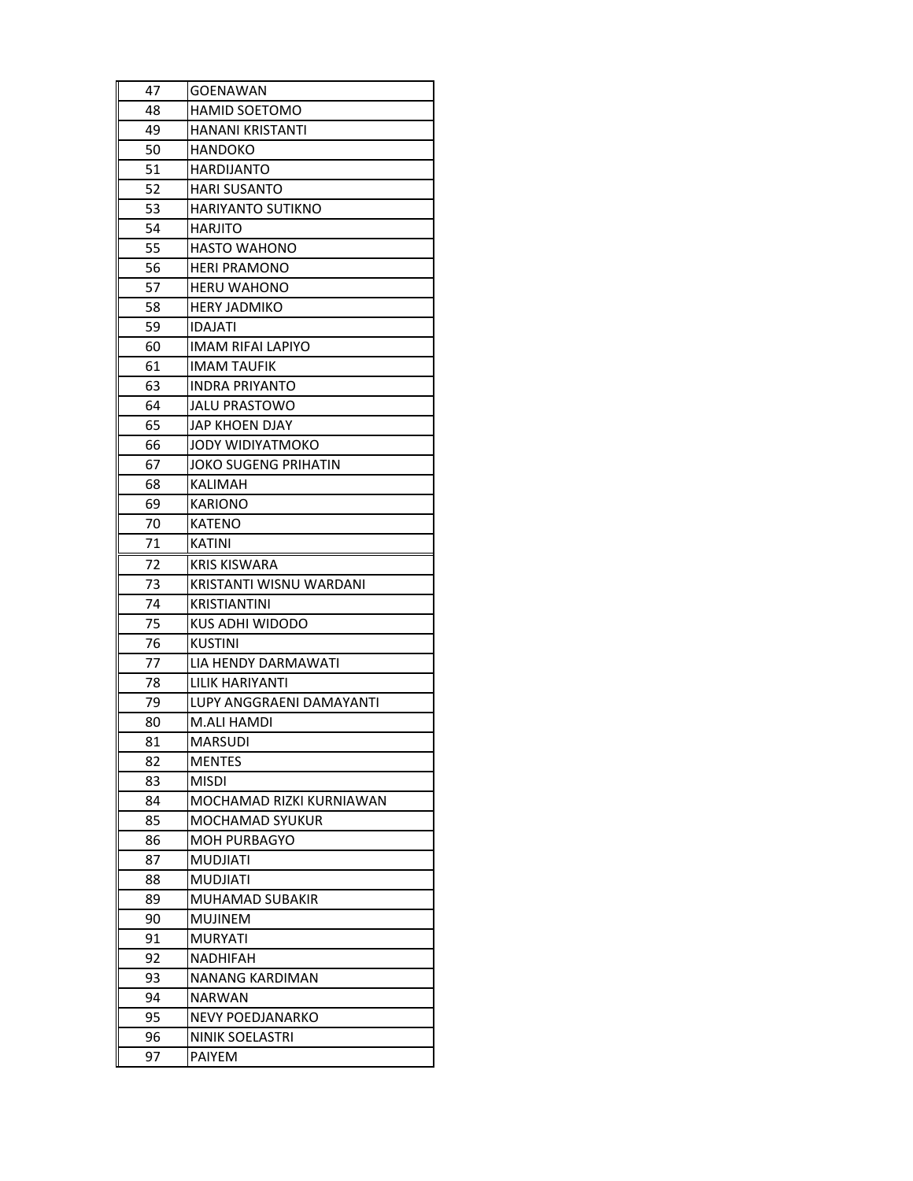| 47       | <b>GOENAWAN</b>                            |
|----------|--------------------------------------------|
| 48       | <b>HAMID SOETOMO</b>                       |
| 49       | <b>HANANI KRISTANTI</b>                    |
| 50       | HANDOKO                                    |
| 51       | <b>HARDIJANTO</b>                          |
| 52       | <b>HARI SUSANTO</b>                        |
| 53       | <b>HARIYANTO SUTIKNO</b>                   |
| 54       | HARJITO                                    |
| 55       | HASTO WAHONO                               |
| 56       | <b>HERI PRAMONO</b>                        |
| 57       | <b>HERU WAHONO</b>                         |
| 58       | HERY JADMIKO                               |
| 59       | IDAJATI                                    |
| 60       | <b>IMAM RIFAI LAPIYO</b>                   |
| 61       | <b>IMAM TAUFIK</b>                         |
| 63       | <b>INDRA PRIYANTO</b>                      |
| 64       | JALU PRASTOWO                              |
| 65       | JAP KHOEN DJAY                             |
| 66       | JODY WIDIYATMOKO                           |
| 67       | <b>JOKO SUGENG PRIHATIN</b>                |
| 68       | KALIMAH                                    |
| 69       | KARIONO                                    |
| 70       | KATENO                                     |
| 71       | KATINI                                     |
| 72       | KRIS KISWARA                               |
| 73       | KRISTANTI WISNU WARDANI                    |
| 74       | <b>KRISTIANTINI</b>                        |
| 75       | KUS ADHI WIDODO                            |
| 76       | KUSTINI                                    |
| 77       | LIA HENDY DARMAWATI                        |
| 78       | LILIK HARIYANTI                            |
| 79       | LUPY ANGGRAENI DAMAYANTI                   |
| 80       | M.ALI HAMDI                                |
| 81       | MARSUDI                                    |
| 82       | MENTES                                     |
| 83       | misdi                                      |
| 84       | MOCHAMAD RIZKI KURNIAWAN                   |
| 85       | <b>MOCHAMAD SYUKUR</b>                     |
| 86       | <b>MOH PURBAGYO</b>                        |
| 87       | <b>MUDJIATI</b>                            |
| 88       | MUDJIATI                                   |
| 89       | MUHAMAD SUBAKIR                            |
| 90       | <b>MUJINEM</b>                             |
| 91       | MURYATI                                    |
| 92       | NADHIFAH                                   |
| 93       |                                            |
|          | NANANG KARDIMAN                            |
| 94       | NARWAN                                     |
|          |                                            |
| 95<br>96 | <b>NEVY POEDJANARKO</b><br>NINIK SOELASTRI |
| 97       | <b>PAIYEM</b>                              |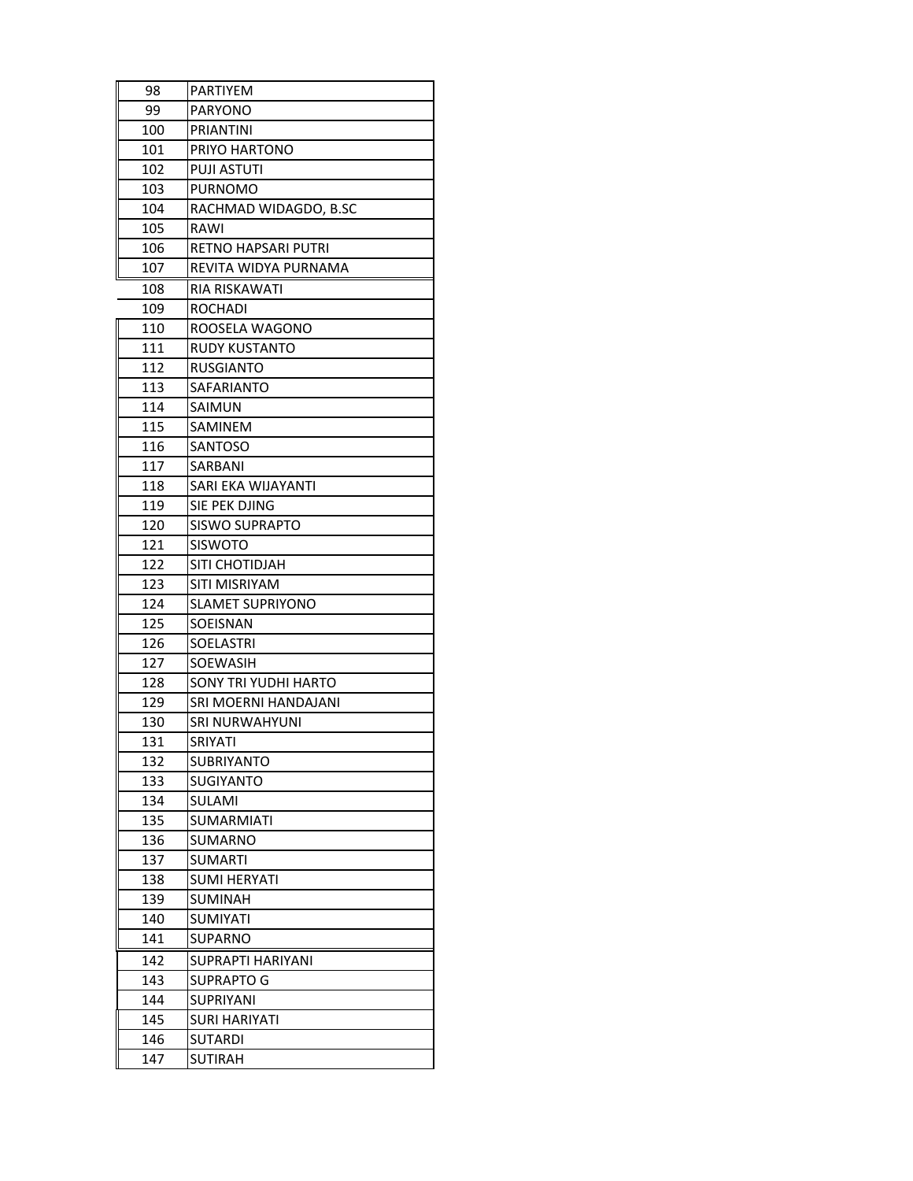| 98  | PARTIYEM                |
|-----|-------------------------|
| 99  | PARYONO                 |
| 100 | PRIANTINI               |
| 101 | PRIYO HARTONO           |
| 102 | <b>PUJI ASTUTI</b>      |
| 103 | <b>PURNOMO</b>          |
| 104 | RACHMAD WIDAGDO, B.SC   |
| 105 | RAWI                    |
| 106 | RETNO HAPSARI PUTRI     |
| 107 | REVITA WIDYA PURNAMA    |
| 108 | RIA RISKAWATI           |
| 109 | <b>ROCHADI</b>          |
| 110 | ROOSELA WAGONO          |
| 111 | <b>RUDY KUSTANTO</b>    |
| 112 | <b>RUSGIANTO</b>        |
| 113 | SAFARIANTO              |
| 114 | <b>SAIMUN</b>           |
| 115 | SAMINEM                 |
| 116 | SANTOSO                 |
| 117 | SARBANI                 |
| 118 | SARI EKA WIJAYANTI      |
| 119 | SIE PEK DJING           |
| 120 | <b>SISWO SUPRAPTO</b>   |
| 121 | <b>SISWOTO</b>          |
| 122 | SITI CHOTIDJAH          |
| 123 | SITI MISRIYAM           |
| 124 | <b>SLAMET SUPRIYONO</b> |
| 125 | SOEISNAN                |
| 126 | SOELASTRI               |
| 127 | <b>SOEWASIH</b>         |
| 128 | SONY TRI YUDHI HARTO    |
| 129 | SRI MOERNI HANDAJANI    |
| 130 | SRI NURWAHYUNI          |
| 131 | SRIYATI                 |
| 132 | <b>SUBRIYANTO</b>       |
| 133 | SUGIYANTO               |
| 134 | SULAMI                  |
| 135 | <b>SUMARMIATI</b>       |
| 136 | SUMARNO                 |
| 137 | <b>SUMARTI</b>          |
| 138 | SUMI HERYATI            |
| 139 | <b>SUMINAH</b>          |
| 140 | <b>SUMIYATI</b>         |
| 141 | SUPARNO                 |
| 142 | SUPRAPTI HARIYANI       |
| 143 | <b>SUPRAPTO G</b>       |
| 144 | SUPRIYANI               |
| 145 | SURI HARIYATI           |
| 146 | <b>SUTARDI</b>          |
| 147 | SUTIRAH                 |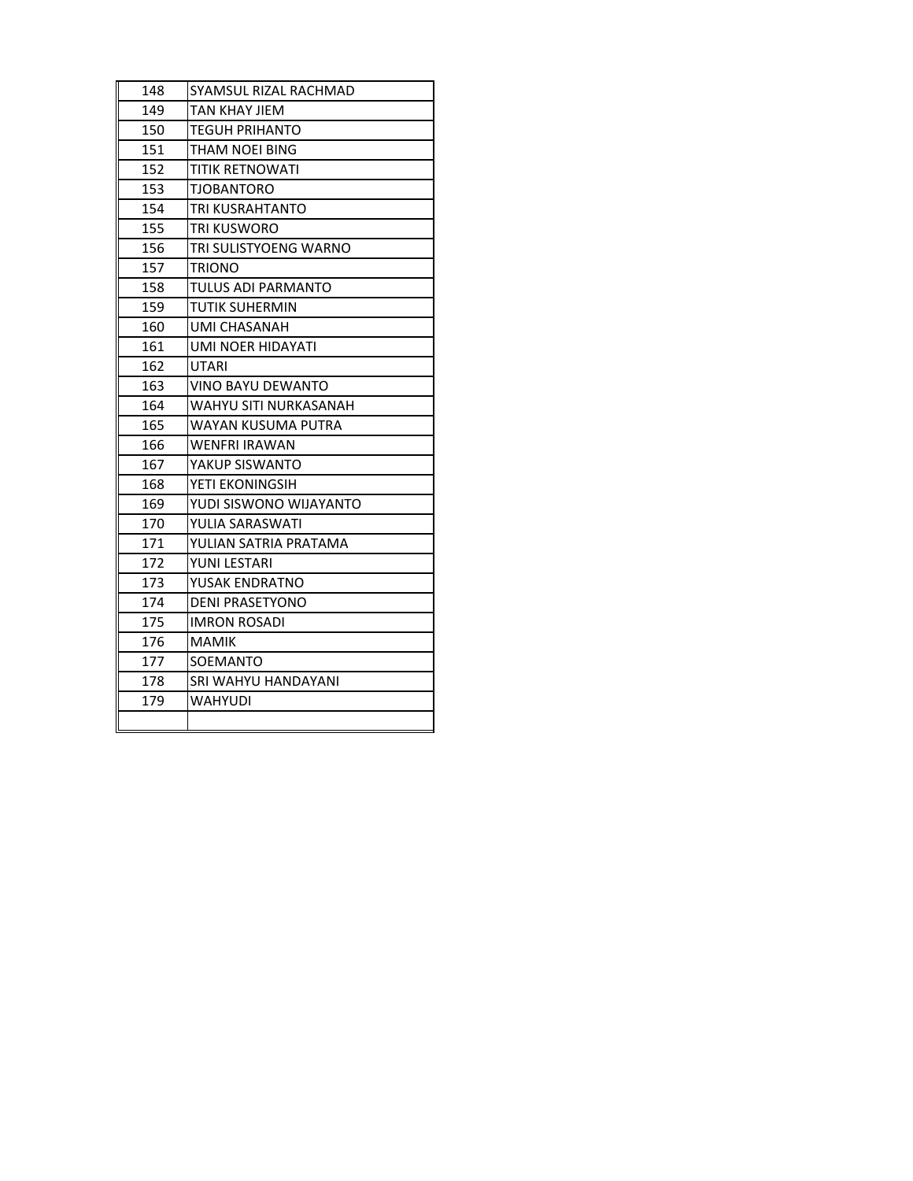| 148 | SYAMSUL RIZAL RACHMAD        |
|-----|------------------------------|
| 149 | <b>TAN KHAY JIEM</b>         |
| 150 | <b>TEGUH PRIHANTO</b>        |
| 151 | <b>THAM NOEI BING</b>        |
| 152 | <b>TITIK RETNOWATI</b>       |
| 153 | <b>TJOBANTORO</b>            |
| 154 | TRI KUSRAHTANTO              |
| 155 | TRI KUSWORO                  |
| 156 | TRI SULISTYOENG WARNO        |
| 157 | <b>TRIONO</b>                |
| 158 | TULUS ADI PARMANTO           |
| 159 | <b>TUTIK SUHERMIN</b>        |
| 160 | UMI CHASANAH                 |
| 161 | UMI NOER HIDAYATI            |
| 162 | <b>UTARI</b>                 |
| 163 | <b>VINO BAYU DEWANTO</b>     |
| 164 | <b>WAHYU SITI NURKASANAH</b> |
| 165 | WAYAN KUSUMA PUTRA           |
| 166 | <b>WENFRI IRAWAN</b>         |
| 167 | YAKUP SISWANTO               |
| 168 | YETI EKONINGSIH              |
| 169 | YUDI SISWONO WIJAYANTO       |
| 170 | YULIA SARASWATI              |
| 171 | YULIAN SATRIA PRATAMA        |
| 172 | YUNI LESTARI                 |
| 173 | YUSAK ENDRATNO               |
| 174 | <b>DENI PRASETYONO</b>       |
| 175 | <b>IMRON ROSADI</b>          |
| 176 | <b>MAMIK</b>                 |
| 177 | SOEMANTO                     |
| 178 | SRI WAHYU HANDAYANI          |
| 179 | <b>WAHYUDI</b>               |
|     |                              |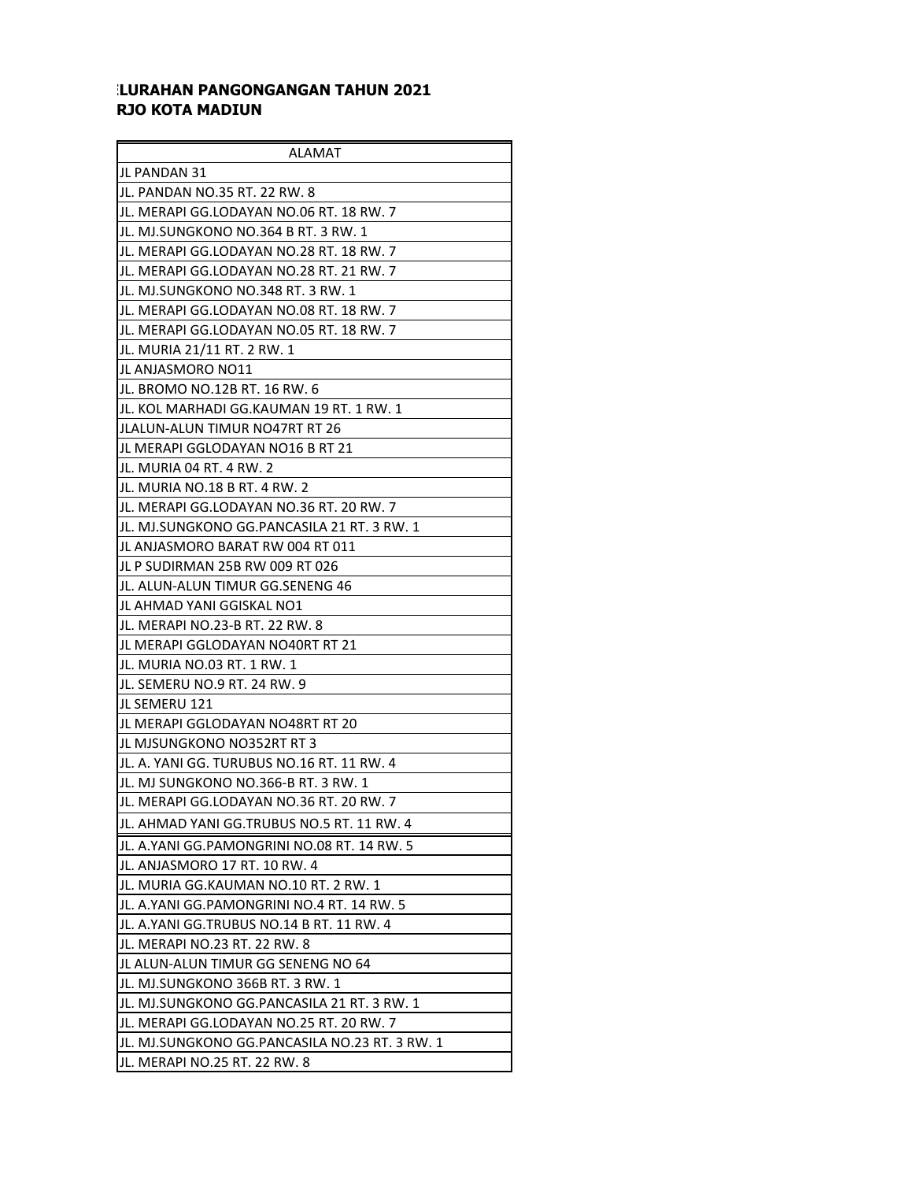## **ILURAHAN PANGONGANGAN TAHUN 2021 RJO KOTA MADIUN**

| ALAMAT                                         |
|------------------------------------------------|
| JL PANDAN 31                                   |
| JL. PANDAN NO.35 RT. 22 RW. 8                  |
| JL. MERAPI GG.LODAYAN NO.06 RT. 18 RW. 7       |
| IJL. MJ.SUNGKONO NO.364 B RT. 3 RW. 1          |
| JL. MERAPI GG.LODAYAN NO.28 RT. 18 RW. 7       |
| JL. MERAPI GG.LODAYAN NO.28 RT. 21 RW. 7       |
| JL. MJ.SUNGKONO NO.348 RT. 3 RW. 1             |
| JL. MERAPI GG.LODAYAN NO.08 RT. 18 RW. 7       |
| JL. MERAPI GG.LODAYAN NO.05 RT. 18 RW. 7       |
| JL. MURIA 21/11 RT. 2 RW. 1                    |
| IJL ANJASMORO NO11                             |
| JL. BROMO NO.12B RT. 16 RW. 6                  |
| JL. KOL MARHADI GG.KAUMAN 19 RT. 1 RW. 1       |
| JLALUN-ALUN TIMUR NO47RT RT 26                 |
| IJL MERAPI GGLODAYAN NO16 B RT 21              |
| JL. MURIA 04 RT. 4 RW. 2                       |
| JL. MURIA NO.18 B RT. 4 RW. 2                  |
| JL. MERAPI GG.LODAYAN NO.36 RT. 20 RW. 7       |
| JL. MJ.SUNGKONO GG.PANCASILA 21 RT. 3 RW. 1    |
| IJL ANJASMORO BARAT RW 004 RT 011              |
| JL P SUDIRMAN 25B RW 009 RT 026                |
| JL. ALUN-ALUN TIMUR GG.SENENG 46               |
| IJL AHMAD YANI GGISKAL NO1                     |
| JL. MERAPI NO.23-B RT. 22 RW. 8                |
| IJL MERAPI GGLODAYAN NO40RT RT 21              |
| JL. MURIA NO.03 RT. 1 RW. 1                    |
| JL. SEMERU NO.9 RT. 24 RW. 9                   |
| JL SEMERU 121                                  |
| IJL MERAPI GGLODAYAN NO48RT RT 20              |
| JIL MJSUNGKONO NO352RT RT 3                    |
| JL. A. YANI GG. TURUBUS NO.16 RT. 11 RW. 4     |
| JL. MJ SUNGKONO NO.366-B RT. 3 RW. 1           |
| JL. MERAPI GG.LODAYAN NO.36 RT. 20 RW. 7       |
| JL. AHMAD YANI GG.TRUBUS NO.5 RT. 11 RW. 4     |
| JL. A.YANI GG.PAMONGRINI NO.08 RT. 14 RW. 5    |
| JL. ANJASMORO 17 RT. 10 RW. 4                  |
| JL. MURIA GG.KAUMAN NO.10 RT. 2 RW. 1          |
| JL. A.YANI GG.PAMONGRINI NO.4 RT. 14 RW. 5     |
| JL. A.YANI GG.TRUBUS NO.14 B RT. 11 RW. 4      |
| JL. MERAPI NO.23 RT. 22 RW. 8                  |
| JL ALUN-ALUN TIMUR GG SENENG NO 64             |
| IJL. MJ.SUNGKONO 366B RT. 3 RW. 1              |
| JL. MJ.SUNGKONO GG.PANCASILA 21 RT. 3 RW. 1    |
| JL. MERAPI GG.LODAYAN NO.25 RT. 20 RW. 7       |
| JL. MJ.SUNGKONO GG.PANCASILA NO.23 RT. 3 RW. 1 |
| JL. MERAPI NO.25 RT. 22 RW. 8                  |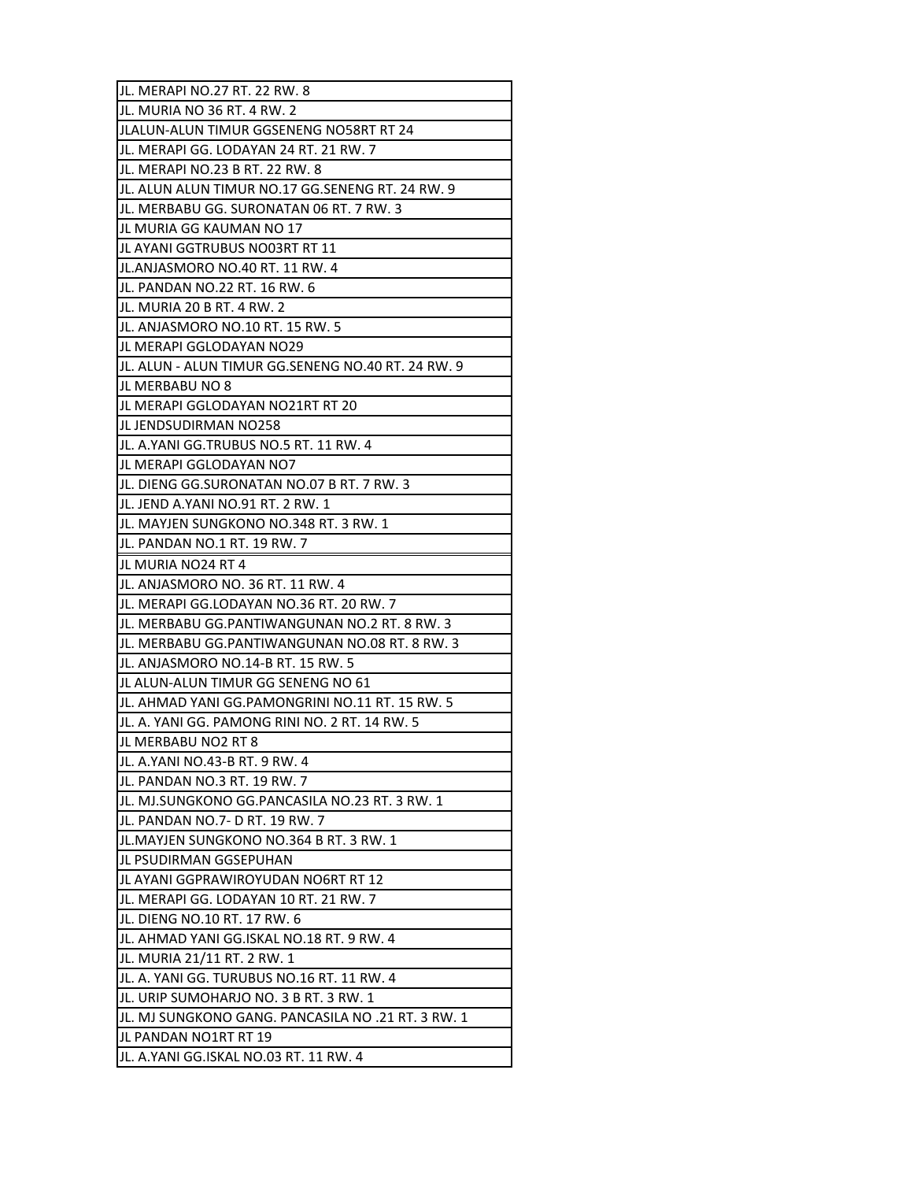| JL. MERAPI NO.27 RT. 22 RW. 8                      |
|----------------------------------------------------|
| JL. MURIA NO 36 RT. 4 RW. 2                        |
| JLALUN-ALUN TIMUR GGSENENG NO58RT RT 24            |
| JL. MERAPI GG. LODAYAN 24 RT. 21 RW. 7             |
| JL. MERAPI NO.23 B RT. 22 RW. 8                    |
| JL. ALUN ALUN TIMUR NO.17 GG.SENENG RT. 24 RW. 9   |
| JL. MERBABU GG. SURONATAN 06 RT. 7 RW. 3           |
| JL MURIA GG KAUMAN NO 17                           |
| JL AYANI GGTRUBUS NO03RT RT 11                     |
| JL.ANJASMORO NO.40 RT. 11 RW. 4                    |
| JL. PANDAN NO.22 RT. 16 RW. 6                      |
| JL. MURIA 20 B RT. 4 RW. 2                         |
| JL. ANJASMORO NO.10 RT. 15 RW. 5                   |
| JL MERAPI GGLODAYAN NO29                           |
| JL. ALUN - ALUN TIMUR GG.SENENG NO.40 RT. 24 RW. 9 |
| JL MERBABU NO 8                                    |
| IJL MERAPI GGLODAYAN NO21RT RT 20                  |
| JL JENDSUDIRMAN NO258                              |
| JL. A.YANI GG.TRUBUS NO.5 RT. 11 RW. 4             |
| JL MERAPI GGLODAYAN NO7                            |
| JL. DIENG GG.SURONATAN NO.07 B RT. 7 RW. 3         |
| JL. JEND A.YANI NO.91 RT. 2 RW. 1                  |
| JL. MAYJEN SUNGKONO NO.348 RT. 3 RW. 1             |
| JL. PANDAN NO.1 RT. 19 RW. 7                       |
| JL MURIA NO24 RT 4                                 |
| IJL. ANJASMORO NO. 36 RT. 11 RW. 4                 |
| JL. MERAPI GG.LODAYAN NO.36 RT. 20 RW. 7           |
| JL. MERBABU GG.PANTIWANGUNAN NO.2 RT. 8 RW. 3      |
| JL. MERBABU GG.PANTIWANGUNAN NO.08 RT. 8 RW. 3     |
| JL. ANJASMORO NO.14-B RT. 15 RW. 5                 |
| IJL ALUN-ALUN TIMUR GG SENENG NO 61                |
| JL. AHMAD YANI GG.PAMONGRINI NO.11 RT. 15 RW. 5    |
| JL. A. YANI GG. PAMONG RINI NO. 2 RT. 14 RW. 5     |
| JL MERBABU NO2 RT 8                                |
| JL. A.YANI NO.43-B RT. 9 RW. 4                     |
| JL. PANDAN NO.3 RT. 19 RW. 7                       |
| JL. MJ.SUNGKONO GG.PANCASILA NO.23 RT. 3 RW. 1     |
| JL. PANDAN NO.7- D RT. 19 RW. 7                    |
| JL.MAYJEN SUNGKONO NO.364 B RT. 3 RW. 1            |
| JL PSUDIRMAN GGSEPUHAN                             |
| JL AYANI GGPRAWIROYUDAN NO6RT RT 12                |
| JL. MERAPI GG. LODAYAN 10 RT. 21 RW. 7             |
| JL. DIENG NO.10 RT. 17 RW. 6                       |
| JL. AHMAD YANI GG.ISKAL NO.18 RT. 9 RW. 4          |
| JL. MURIA 21/11 RT. 2 RW. 1                        |
| JL. A. YANI GG. TURUBUS NO.16 RT. 11 RW. 4         |
| JL. URIP SUMOHARJO NO. 3 B RT. 3 RW. 1             |
| JL. MJ SUNGKONO GANG. PANCASILA NO .21 RT. 3 RW. 1 |
| JL PANDAN NO1RT RT 19                              |
| JL. A.YANI GG.ISKAL NO.03 RT. 11 RW. 4             |
|                                                    |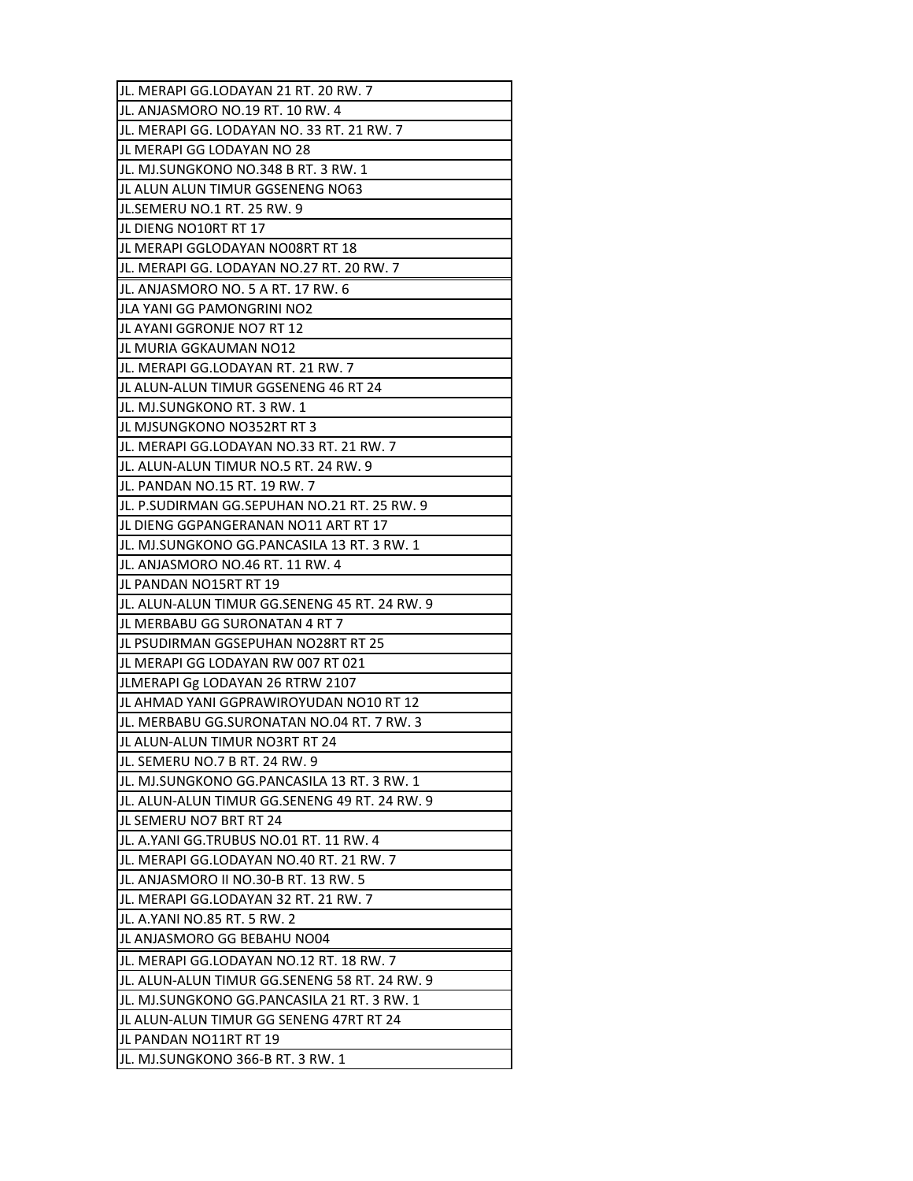| JL. MERAPI GG.LODAYAN 21 RT. 20 RW. 7         |
|-----------------------------------------------|
| JL. ANJASMORO NO.19 RT. 10 RW. 4              |
| JL. MERAPI GG. LODAYAN NO. 33 RT. 21 RW. 7    |
| JL MERAPI GG LODAYAN NO 28                    |
| JL. MJ.SUNGKONO NO.348 B RT. 3 RW. 1          |
| JL ALUN ALUN TIMUR GGSENENG NO63              |
| JL.SEMERU NO.1 RT. 25 RW. 9                   |
| JL DIENG NO10RT RT 17                         |
| JL MERAPI GGLODAYAN NO08RT RT 18              |
| JL. MERAPI GG. LODAYAN NO.27 RT. 20 RW. 7     |
| JL. ANJASMORO NO. 5 A RT. 17 RW. 6            |
| JLA YANI GG PAMONGRINI NO2                    |
| JL AYANI GGRONJE NO7 RT 12                    |
| JL MURIA GGKAUMAN NO12                        |
| IJL. MERAPI GG.LODAYAN RT. 21 RW. 7           |
| JL ALUN-ALUN TIMUR GGSENENG 46 RT 24          |
| JL. MJ.SUNGKONO RT. 3 RW. 1                   |
| JL MJSUNGKONO NO352RT RT 3                    |
| JL. MERAPI GG.LODAYAN NO.33 RT. 21 RW. 7      |
| JL. ALUN-ALUN TIMUR NO.5 RT. 24 RW. 9         |
| JL. PANDAN NO.15 RT. 19 RW. 7                 |
| JL. P.SUDIRMAN GG.SEPUHAN NO.21 RT. 25 RW. 9  |
| JL DIENG GGPANGERANAN NO11 ART RT 17          |
| JL. MJ.SUNGKONO GG.PANCASILA 13 RT. 3 RW. 1   |
| JL. ANJASMORO NO.46 RT. 11 RW. 4              |
| JL PANDAN NO15RT RT 19                        |
| JL. ALUN-ALUN TIMUR GG.SENENG 45 RT. 24 RW. 9 |
| JL MERBABU GG SURONATAN 4 RT 7                |
| JL PSUDIRMAN GGSEPUHAN NO28RT RT 25           |
| IJL MERAPI GG LODAYAN RW 007 RT 021           |
| JLMERAPI Gg LODAYAN 26 RTRW 2107              |
| JL AHMAD YANI GGPRAWIROYUDAN NO10 RT 12       |
| JL. MERBABU GG.SURONATAN NO.04 RT. 7 RW. 3    |
| JL ALUN-ALUN TIMUR NO3RT RT 24                |
| JL. SEMERU NO.7 B RT. 24 RW. 9                |
| JL. MJ.SUNGKONO GG.PANCASILA 13 RT. 3 RW. 1   |
|                                               |
| JL. ALUN-ALUN TIMUR GG.SENENG 49 RT. 24 RW. 9 |
| JL SEMERU NO7 BRT RT 24                       |
| JL. A.YANI GG.TRUBUS NO.01 RT. 11 RW. 4       |
| JL. MERAPI GG.LODAYAN NO.40 RT. 21 RW. 7      |
| JL. ANJASMORO II NO.30-B RT. 13 RW. 5         |
| JL. MERAPI GG.LODAYAN 32 RT. 21 RW. 7         |
| JL. A.YANI NO.85 RT. 5 RW. 2                  |
| JL ANJASMORO GG BEBAHU NO04                   |
| JL. MERAPI GG.LODAYAN NO.12 RT. 18 RW. 7      |
| JL. ALUN-ALUN TIMUR GG.SENENG 58 RT. 24 RW. 9 |
| JL. MJ.SUNGKONO GG.PANCASILA 21 RT. 3 RW. 1   |
| JL ALUN-ALUN TIMUR GG SENENG 47RT RT 24       |
| JL PANDAN NO11RT RT 19                        |
| JL. MJ.SUNGKONO 366-B RT. 3 RW. 1             |